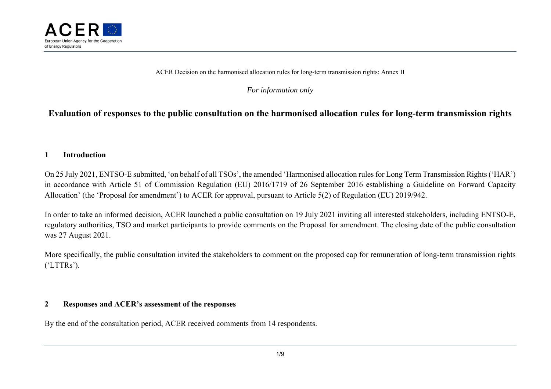

ACER Decision on the harmonised allocation rules for long-term transmission rights: Annex II

*For information only* 

# **Evaluation of responses to the public consultation on the harmonised allocation rules for long-term transmission rights**

## **1Introduction**

On 25 July 2021, ENTSO-E submitted, 'on behalf of all TSOs', the amended 'Harmonised allocation rules for Long Term Transmission Rights ('HAR') in accordance with Article 51 of Commission Regulation (EU) 2016/1719 of 26 September 2016 establishing a Guideline on Forward Capacity Allocation' (the 'Proposal for amendment') to ACER for approval, pursuant to Article 5(2) of Regulation (EU) 2019/942.

In order to take an informed decision, ACER launched a public consultation on 19 July 2021 inviting all interested stakeholders, including ENTSO-E, regulatory authorities, TSO and market participants to provide comments on the Proposal for amendment. The closing date of the public consultation was 27 August 2021.

More specifically, the public consultation invited the stakeholders to comment on the proposed cap for remuneration of long-term transmission rights ('LTTRs').

### **2Responses and ACER's assessment of the responses**

By the end of the consultation period, ACER received comments from 14 respondents.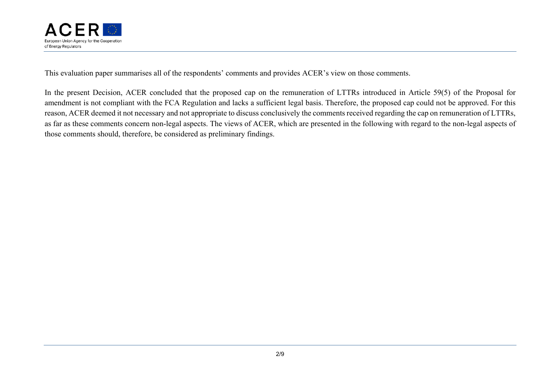

This evaluation paper summarises all of the respondents' comments and provides ACER's view on those comments.

In the present Decision, ACER concluded that the proposed cap on the remuneration of LTTRs introduced in Article 59(5) of the Proposal for amendment is not compliant with the FCA Regulation and lacks a sufficient legal basis. Therefore, the proposed cap could not be approved. For this reason, ACER deemed it not necessary and not appropriate to discuss conclusively the comments received regarding the cap on remuneration of LTTRs, as far as these comments concern non-legal aspects. The views of ACER, which are presented in the following with regard to the non-legal aspects of those comments should, therefore, be considered as preliminary findings.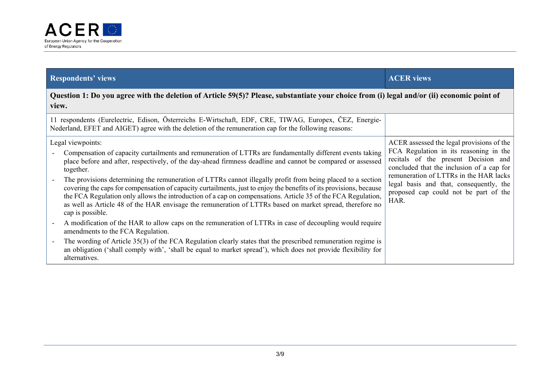

| <b>Respondents' views</b>                                                                                                                                                                                                                                                                                                                                                                                                                                                                                                                                                                                                                                                                                                                       | <b>ACER</b> views                                                                                                                                                                                                                                                                                              |  |  |  |
|-------------------------------------------------------------------------------------------------------------------------------------------------------------------------------------------------------------------------------------------------------------------------------------------------------------------------------------------------------------------------------------------------------------------------------------------------------------------------------------------------------------------------------------------------------------------------------------------------------------------------------------------------------------------------------------------------------------------------------------------------|----------------------------------------------------------------------------------------------------------------------------------------------------------------------------------------------------------------------------------------------------------------------------------------------------------------|--|--|--|
| Question 1: Do you agree with the deletion of Article 59(5)? Please, substantiate your choice from (i) legal and/or (ii) economic point of<br>view.                                                                                                                                                                                                                                                                                                                                                                                                                                                                                                                                                                                             |                                                                                                                                                                                                                                                                                                                |  |  |  |
| 11 respondents (Eurelectric, Edison, Österreichs E-Wirtschaft, EDF, CRE, TIWAG, Europex, ČEZ, Energie-<br>Nederland, EFET and AIGET) agree with the deletion of the remuneration cap for the following reasons:                                                                                                                                                                                                                                                                                                                                                                                                                                                                                                                                 |                                                                                                                                                                                                                                                                                                                |  |  |  |
| Legal viewpoints:<br>Compensation of capacity curtailments and remuneration of LTTRs are fundamentally different events taking<br>place before and after, respectively, of the day-ahead firmness deadline and cannot be compared or assessed<br>together.<br>The provisions determining the remuneration of LTTRs cannot illegally profit from being placed to a section<br>covering the caps for compensation of capacity curtailments, just to enjoy the benefits of its provisions, because<br>the FCA Regulation only allows the introduction of a cap on compensations. Article 35 of the FCA Regulation,<br>as well as Article 48 of the HAR envisage the remuneration of LTTRs based on market spread, therefore no<br>cap is possible. | ACER assessed the legal provisions of the<br>FCA Regulation in its reasoning in the<br>recitals of the present Decision and<br>concluded that the inclusion of a cap for<br>remuneration of LTTRs in the HAR lacks<br>legal basis and that, consequently, the<br>proposed cap could not be part of the<br>HAR. |  |  |  |
| A modification of the HAR to allow caps on the remuneration of LTTRs in case of decoupling would require<br>amendments to the FCA Regulation.                                                                                                                                                                                                                                                                                                                                                                                                                                                                                                                                                                                                   |                                                                                                                                                                                                                                                                                                                |  |  |  |
| The wording of Article 35(3) of the FCA Regulation clearly states that the prescribed remuneration regime is<br>an obligation ('shall comply with', 'shall be equal to market spread'), which does not provide flexibility for<br>alternatives.                                                                                                                                                                                                                                                                                                                                                                                                                                                                                                 |                                                                                                                                                                                                                                                                                                                |  |  |  |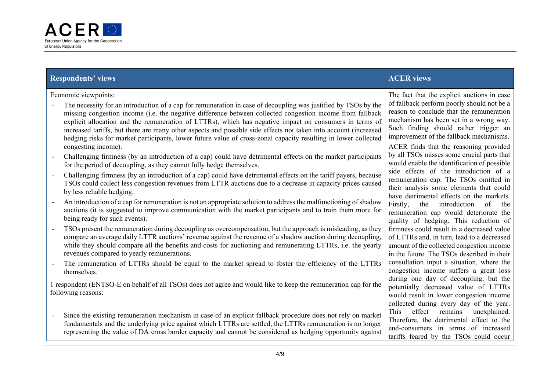

## **Respondents' views ACER views** ACER views **ACER** views **ACER** views

Economic viewpoints:

- The necessity for an introduction of a cap for remuneration in case of decoupling was justified by TSOs by the missing congestion income (i.e. the negative difference between collected congestion income from fallback explicit allocation and the remuneration of LTTRs), which has negative impact on consumers in terms of increased tariffs, but there are many other aspects and possible side effects not taken into account (increased hedging risks for market participants, lower future value of cross-zonal capacity resulting in lower collected congesting income).
- Challenging firmness (by an introduction of a cap) could have detrimental effects on the market participants for the period of decoupling, as they cannot fully hedge themselves.
- Challenging firmness (by an introduction of a cap) could have detrimental effects on the tariff payers, because TSOs could collect less congestion revenues from LTTR auctions due to a decrease in capacity prices caused by less reliable hedging.
- An introduction of a cap for remuneration is not an appropriate solution to address the malfunctioning of shadow auctions (it is suggested to improve communication with the market participants and to train them more for being ready for such events).
- TSOs present the remuneration during decoupling as overcompensation, but the approach is misleading, as they compare an average daily LTTR auctions' revenue against the revenue of a shadow auction during decoupling, while they should compare all the benefits and costs for auctioning and remunerating LTTRs, i.e. the yearly revenues compared to yearly remunerations.
- The remuneration of LTTRs should be equal to the market spread to foster the efficiency of the LTTRs themselves.

1 respondent (ENTSO-E on behalf of all TSOs) does not agree and would like to keep the remuneration cap for the following reasons:

 Since the existing remuneration mechanism in case of an explicit fallback procedure does not rely on market fundamentals and the underlying price against which LTTRs are settled, the LTTRs remuneration is no longer representing the value of DA cross border capacity and cannot be considered as hedging opportunity against

The fact that the explicit auctions in case of fallback perform poorly should not be a reason to conclude that the remuneration mechanism has been set in a wrong way. Such finding should rather trigger an improvement of the fallback mechanisms. ACER finds that the reasoning provided by all TSOs misses some crucial parts that would enable the identification of possible side effects of the introduction of a remuneration cap. The TSOs omitted in their analysis some elements that could have detrimental effects on the markets. Firstly, the introduction of the remuneration cap would deteriorate the quality of hedging. This reduction of firmness could result in a decreased value of LTTRs and, in turn, lead to a decreased amount of the collected congestion income in the future. The TSOs described in their consultation input a situation, where the congestion income suffers a great loss during one day of decoupling, but the potentially decreased value of LTTRs would result in lower congestion income collected during every day of the year. This effect remains unexplained. Therefore, the detrimental effect to the end-consumers in terms of increased tariffs feared by the TSOs could occur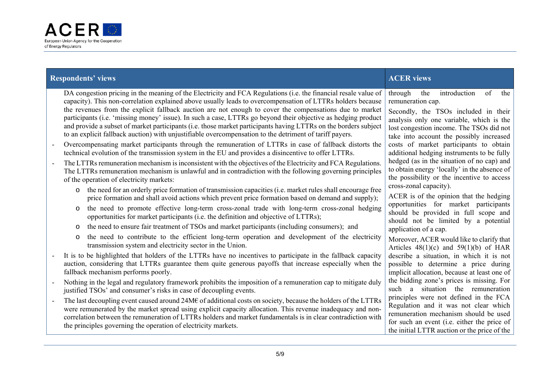

| <b>Respondents' views</b> |                                                                                                                                                                                                                                                                                                                                                                                                                                                                                                                                                                                                                                                                                         | <b>ACER</b> views                                                                                                                                                                                                                            |
|---------------------------|-----------------------------------------------------------------------------------------------------------------------------------------------------------------------------------------------------------------------------------------------------------------------------------------------------------------------------------------------------------------------------------------------------------------------------------------------------------------------------------------------------------------------------------------------------------------------------------------------------------------------------------------------------------------------------------------|----------------------------------------------------------------------------------------------------------------------------------------------------------------------------------------------------------------------------------------------|
|                           | DA congestion pricing in the meaning of the Electricity and FCA Regulations (i.e. the financial resale value of<br>capacity). This non-correlation explained above usually leads to overcompensation of LTTRs holders because<br>the revenues from the explicit fallback auction are not enough to cover the compensations due to market<br>participants (i.e. 'missing money' issue). In such a case, LTTRs go beyond their objective as hedging product<br>and provide a subset of market participants (i.e. those market participants having LTTRs on the borders subject<br>to an explicit fallback auction) with unjustifiable overcompensation to the detriment of tariff payers. | of<br>through<br>introduction<br>the<br>the<br>remuneration cap.<br>Secondly, the TSOs included in their<br>analysis only one variable, which is the<br>lost congestion income. The TSOs did not<br>take into account the possibly increased |
|                           | Overcompensating market participants through the remuneration of LTTRs in case of fallback distorts the<br>technical evolution of the transmission system in the EU and provides a disincentive to offer LTTRs.                                                                                                                                                                                                                                                                                                                                                                                                                                                                         | costs of market participants to obtain<br>additional hedging instruments to be fully                                                                                                                                                         |
|                           | The LTTRs remuneration mechanism is inconsistent with the objectives of the Electricity and FCA Regulations.<br>The LTTRs remuneration mechanism is unlawful and in contradiction with the following governing principles<br>of the operation of electricity markets:                                                                                                                                                                                                                                                                                                                                                                                                                   | hedged (as in the situation of no cap) and<br>to obtain energy 'locally' in the absence of<br>the possibility or the incentive to access                                                                                                     |
|                           | the need for an orderly price formation of transmission capacities (i.e. market rules shall encourage free<br>$\circ$<br>price formation and shall avoid actions which prevent price formation based on demand and supply);                                                                                                                                                                                                                                                                                                                                                                                                                                                             | cross-zonal capacity).<br>ACER is of the opinion that the hedging                                                                                                                                                                            |
|                           | the need to promote effective long-term cross-zonal trade with long-term cross-zonal hedging<br>$\circ$<br>opportunities for market participants (i.e. the definition and objective of LTTRs);                                                                                                                                                                                                                                                                                                                                                                                                                                                                                          | opportunities for market participants<br>should be provided in full scope and<br>should not be limited by a potential                                                                                                                        |
|                           | the need to ensure fair treatment of TSOs and market participants (including consumers); and<br>$\circ$                                                                                                                                                                                                                                                                                                                                                                                                                                                                                                                                                                                 | application of a cap.                                                                                                                                                                                                                        |
|                           | the need to contribute to the efficient long-term operation and development of the electricity<br>$\circ$<br>transmission system and electricity sector in the Union.                                                                                                                                                                                                                                                                                                                                                                                                                                                                                                                   | Moreover, ACER would like to clarify that<br>Articles $48(1)(c)$ and $59(1)(b)$ of HAR                                                                                                                                                       |
|                           | It is to be highlighted that holders of the LTTRs have no incentives to participate in the fallback capacity<br>auction, considering that LTTRs guarantee them quite generous payoffs that increase especially when the<br>fallback mechanism performs poorly.                                                                                                                                                                                                                                                                                                                                                                                                                          | describe a situation, in which it is not<br>possible to determine a price during<br>implicit allocation, because at least one of                                                                                                             |
|                           | Nothing in the legal and regulatory framework prohibits the imposition of a remuneration cap to mitigate duly<br>justified TSOs' and consumer's risks in case of decoupling events.                                                                                                                                                                                                                                                                                                                                                                                                                                                                                                     | the bidding zone's prices is missing. For<br>such a situation the remuneration                                                                                                                                                               |
|                           | The last decoupling event caused around $24M\epsilon$ of additional costs on society, because the holders of the LTTRs<br>were remunerated by the market spread using explicit capacity allocation. This revenue inadequacy and non-<br>correlation between the remuneration of LTTRs holders and market fundamentals is in clear contradiction with<br>the principles governing the operation of electricity markets.                                                                                                                                                                                                                                                                  | principles were not defined in the FCA<br>Regulation and it was not clear which<br>remuneration mechanism should be used<br>for such an event (i.e. either the price of<br>the initial LTTR auction or the price of the                      |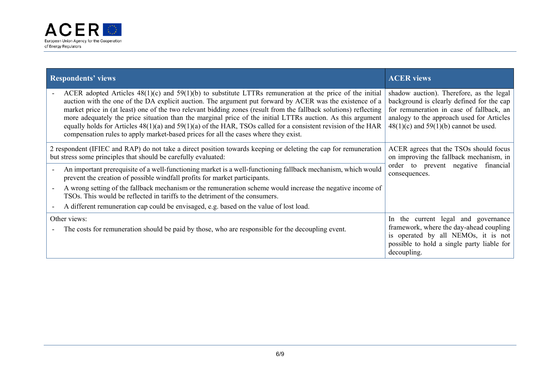

| <b>Respondents' views</b>                                                                                                                                                                                                                                                                                                                                                                                                                                                                                                                                                                                                                                              | <b>ACER</b> views                                                                                                                                                                                                           |
|------------------------------------------------------------------------------------------------------------------------------------------------------------------------------------------------------------------------------------------------------------------------------------------------------------------------------------------------------------------------------------------------------------------------------------------------------------------------------------------------------------------------------------------------------------------------------------------------------------------------------------------------------------------------|-----------------------------------------------------------------------------------------------------------------------------------------------------------------------------------------------------------------------------|
| ACER adopted Articles $48(1)(c)$ and $59(1)(b)$ to substitute LTTRs remuneration at the price of the initial<br>auction with the one of the DA explicit auction. The argument put forward by ACER was the existence of a<br>market price in (at least) one of the two relevant bidding zones (result from the fallback solutions) reflecting<br>more adequately the price situation than the marginal price of the initial LTTRs auction. As this argument<br>equally holds for Articles $48(1)(a)$ and $59(1)(a)$ of the HAR, TSOs called for a consistent revision of the HAR<br>compensation rules to apply market-based prices for all the cases where they exist. | shadow auction). Therefore, as the legal<br>background is clearly defined for the cap<br>for remuneration in case of fallback, an<br>analogy to the approach used for Articles<br>$48(1)(c)$ and $59(1)(b)$ cannot be used. |
| 2 respondent (IFIEC and RAP) do not take a direct position towards keeping or deleting the cap for remuneration<br>but stress some principles that should be carefully evaluated:                                                                                                                                                                                                                                                                                                                                                                                                                                                                                      | ACER agrees that the TSOs should focus<br>on improving the fallback mechanism, in<br>order to prevent negative financial<br>consequences.                                                                                   |
| An important prerequisite of a well-functioning market is a well-functioning fallback mechanism, which would<br>prevent the creation of possible windfall profits for market participants.                                                                                                                                                                                                                                                                                                                                                                                                                                                                             |                                                                                                                                                                                                                             |
| A wrong setting of the fallback mechanism or the remuneration scheme would increase the negative income of<br>TSOs. This would be reflected in tariffs to the detriment of the consumers.                                                                                                                                                                                                                                                                                                                                                                                                                                                                              |                                                                                                                                                                                                                             |
| A different remuneration cap could be envisaged, e.g. based on the value of lost load.                                                                                                                                                                                                                                                                                                                                                                                                                                                                                                                                                                                 |                                                                                                                                                                                                                             |
| Other views:<br>The costs for remuneration should be paid by those, who are responsible for the decoupling event.                                                                                                                                                                                                                                                                                                                                                                                                                                                                                                                                                      | In the current legal and governance<br>framework, where the day-ahead coupling<br>is operated by all NEMOs, it is not<br>possible to hold a single party liable for<br>decoupling.                                          |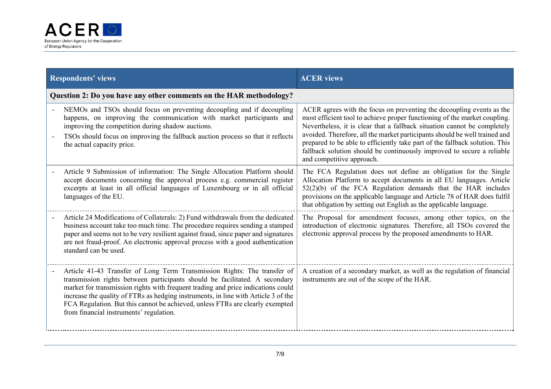

| <b>Respondents' views</b>                                                                                                                                                                                                                                                                                                                                                                                                                                     | <b>ACER</b> views                                                                                                                                                                                                                                                                                                                                                                                                                                                                                  |  |
|---------------------------------------------------------------------------------------------------------------------------------------------------------------------------------------------------------------------------------------------------------------------------------------------------------------------------------------------------------------------------------------------------------------------------------------------------------------|----------------------------------------------------------------------------------------------------------------------------------------------------------------------------------------------------------------------------------------------------------------------------------------------------------------------------------------------------------------------------------------------------------------------------------------------------------------------------------------------------|--|
| Question 2: Do you have any other comments on the HAR methodology?                                                                                                                                                                                                                                                                                                                                                                                            |                                                                                                                                                                                                                                                                                                                                                                                                                                                                                                    |  |
| NEMOs and TSOs should focus on preventing decoupling and if decoupling<br>happens, on improving the communication with market participants and<br>improving the competition during shadow auctions.<br>TSOs should focus on improving the fallback auction process so that it reflects<br>the actual capacity price.                                                                                                                                          | ACER agrees with the focus on preventing the decoupling events as the<br>most efficient tool to achieve proper functioning of the market coupling.<br>Nevertheless, it is clear that a fallback situation cannot be completely<br>avoided. Therefore, all the market participants should be well trained and<br>prepared to be able to efficiently take part of the fallback solution. This<br>fallback solution should be continuously improved to secure a reliable<br>and competitive approach. |  |
| Article 9 Submission of information: The Single Allocation Platform should<br>accept documents concerning the approval process e.g. commercial register<br>excerpts at least in all official languages of Luxembourg or in all official<br>languages of the EU.                                                                                                                                                                                               | The FCA Regulation does not define an obligation for the Single<br>Allocation Platform to accept documents in all EU languages. Article<br>52(2)(b) of the FCA Regulation demands that the HAR includes<br>provisions on the applicable language and Article 78 of HAR does fulfil<br>that obligation by setting out English as the applicable language.                                                                                                                                           |  |
| Article 24 Modifications of Collaterals: 2) Fund withdrawals from the dedicated<br>business account take too much time. The procedure requires sending a stamped<br>paper and seems not to be very resilient against fraud, since paper and signatures<br>are not fraud-proof. An electronic approval process with a good authentication<br>standard can be used.                                                                                             | The Proposal for amendment focuses, among other topics, on the<br>introduction of electronic signatures. Therefore, all TSOs covered the<br>electronic approval process by the proposed amendments to HAR.                                                                                                                                                                                                                                                                                         |  |
| Article 41-43 Transfer of Long Term Transmission Rights: The transfer of<br>transmission rights between participants should be facilitated. A secondary<br>market for transmission rights with frequent trading and price indications could<br>increase the quality of FTRs as hedging instruments, in line with Article 3 of the<br>FCA Regulation. But this cannot be achieved, unless FTRs are clearly exempted<br>from financial instruments' regulation. | A creation of a secondary market, as well as the regulation of financial<br>instruments are out of the scope of the HAR.                                                                                                                                                                                                                                                                                                                                                                           |  |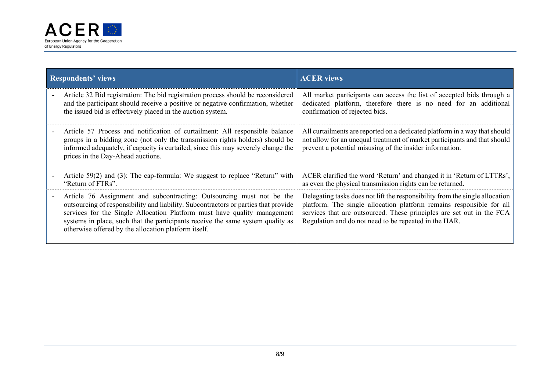

| <b>Respondents' views</b>                                                                                                                                                                                                                                                                                                                                                           | <b>ACER</b> views                                                                                                                                                                                                                                                                      |  |
|-------------------------------------------------------------------------------------------------------------------------------------------------------------------------------------------------------------------------------------------------------------------------------------------------------------------------------------------------------------------------------------|----------------------------------------------------------------------------------------------------------------------------------------------------------------------------------------------------------------------------------------------------------------------------------------|--|
| Article 32 Bid registration: The bid registration process should be reconsidered<br>and the participant should receive a positive or negative confirmation, whether<br>the issued bid is effectively placed in the auction system.                                                                                                                                                  | All market participants can access the list of accepted bids through a<br>dedicated platform, therefore there is no need for an additional<br>confirmation of rejected bids.                                                                                                           |  |
| Article 57 Process and notification of curtailment: All responsible balance<br>groups in a bidding zone (not only the transmission rights holders) should be<br>informed adequately, if capacity is curtailed, since this may severely change the<br>prices in the Day-Ahead auctions.                                                                                              | All curtailments are reported on a dedicated platform in a way that should<br>not allow for an unequal treatment of market participants and that should<br>prevent a potential misusing of the insider information.                                                                    |  |
| Article $59(2)$ and (3): The cap-formula: We suggest to replace "Return" with<br>"Return of FTRs".                                                                                                                                                                                                                                                                                  | ACER clarified the word 'Return' and changed it in 'Return of LTTRs',<br>as even the physical transmission rights can be returned.                                                                                                                                                     |  |
| Article 76 Assignment and subcontracting: Outsourcing must not be the<br>outsourcing of responsibility and liability. Subcontractors or parties that provide<br>services for the Single Allocation Platform must have quality management<br>systems in place, such that the participants receive the same system quality as<br>otherwise offered by the allocation platform itself. | Delegating tasks does not lift the responsibility from the single allocation<br>platform. The single allocation platform remains responsible for all<br>services that are outsourced. These principles are set out in the FCA<br>Regulation and do not need to be repeated in the HAR. |  |